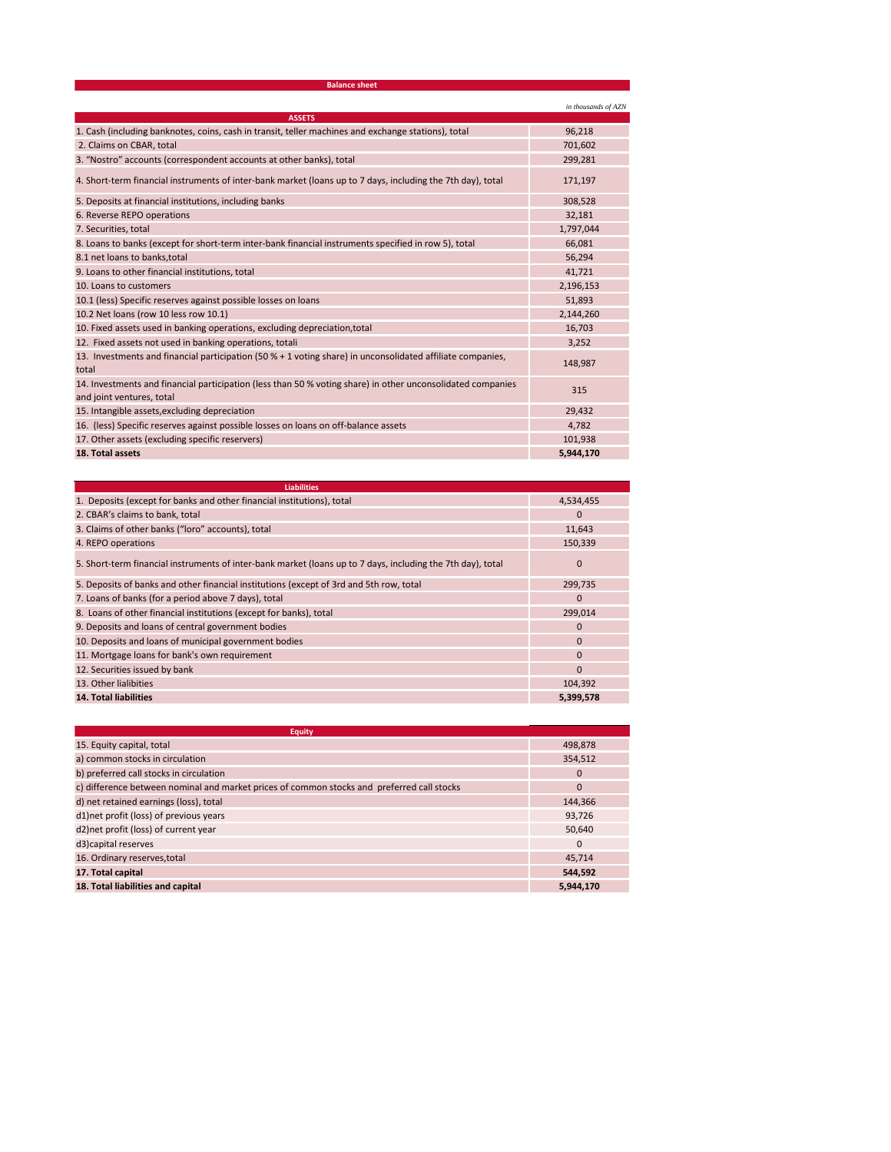| <b>Balance sheet</b>                                                                                                                     |                     |  |
|------------------------------------------------------------------------------------------------------------------------------------------|---------------------|--|
|                                                                                                                                          | in thousands of AZN |  |
| <b>ASSETS</b>                                                                                                                            |                     |  |
| 1. Cash (including banknotes, coins, cash in transit, teller machines and exchange stations), total                                      | 96,218              |  |
| 2. Claims on CBAR, total                                                                                                                 | 701,602             |  |
| 3. "Nostro" accounts (correspondent accounts at other banks), total                                                                      | 299,281             |  |
| 4. Short-term financial instruments of inter-bank market (loans up to 7 days, including the 7th day), total                              | 171,197             |  |
| 5. Deposits at financial institutions, including banks                                                                                   | 308,528             |  |
| 6. Reverse REPO operations                                                                                                               | 32,181              |  |
| 7. Securities, total                                                                                                                     | 1,797,044           |  |
| 8. Loans to banks (except for short-term inter-bank financial instruments specified in row 5), total                                     | 66,081              |  |
| 8.1 net loans to banks, total                                                                                                            | 56,294              |  |
| 9. Loans to other financial institutions, total                                                                                          | 41,721              |  |
| 10. Loans to customers                                                                                                                   | 2,196,153           |  |
| 10.1 (less) Specific reserves against possible losses on loans                                                                           | 51,893              |  |
| 10.2 Net loans (row 10 less row 10.1)                                                                                                    | 2,144,260           |  |
| 10. Fixed assets used in banking operations, excluding depreciation, total                                                               | 16,703              |  |
| 12. Fixed assets not used in banking operations, totali                                                                                  | 3,252               |  |
| 13. Investments and financial participation (50 % + 1 voting share) in unconsolidated affiliate companies,<br>total                      | 148,987             |  |
| 14. Investments and financial participation (less than 50 % voting share) in other unconsolidated companies<br>and joint ventures, total | 315                 |  |
| 15. Intangible assets, excluding depreciation                                                                                            | 29,432              |  |
| 16. (less) Specific reserves against possible losses on loans on off-balance assets                                                      | 4,782               |  |
| 17. Other assets (excluding specific reservers)                                                                                          | 101,938             |  |
| 18. Total assets                                                                                                                         | 5,944,170           |  |

| <b>Liabilities</b>                                                                                          |              |
|-------------------------------------------------------------------------------------------------------------|--------------|
| 1. Deposits (except for banks and other financial institutions), total                                      | 4,534,455    |
| 2. CBAR's claims to bank, total                                                                             | $\mathbf 0$  |
| 3. Claims of other banks ("loro" accounts), total                                                           | 11,643       |
| 4. REPO operations                                                                                          | 150,339      |
| 5. Short-term financial instruments of inter-bank market (loans up to 7 days, including the 7th day), total | $\mathbf{0}$ |
| 5. Deposits of banks and other financial institutions (except of 3rd and 5th row, total                     | 299,735      |
| 7. Loans of banks (for a period above 7 days), total                                                        | $\mathbf{0}$ |
| 8. Loans of other financial institutions (except for banks), total                                          | 299,014      |
| 9. Deposits and loans of central government bodies                                                          | $\mathbf 0$  |
| 10. Deposits and loans of municipal government bodies                                                       | $\mathbf 0$  |
| 11. Mortgage loans for bank's own requirement                                                               | $\mathbf{0}$ |
| 12. Securities issued by bank                                                                               | $\Omega$     |
| 13. Other lialibities                                                                                       | 104,392      |
| <b>14. Total liabilities</b>                                                                                | 5,399,578    |

| Eauity                                                                                     |              |
|--------------------------------------------------------------------------------------------|--------------|
| 15. Equity capital, total                                                                  | 498,878      |
| a) common stocks in circulation                                                            | 354,512      |
| b) preferred call stocks in circulation                                                    | $\mathbf{0}$ |
| c) difference between nominal and market prices of common stocks and preferred call stocks | $\mathbf{0}$ |
| d) net retained earnings (loss), total                                                     | 144.366      |
| d1)net profit (loss) of previous years                                                     | 93,726       |
| d2) net profit (loss) of current year                                                      | 50,640       |
| d3) capital reserves                                                                       | $\mathbf{0}$ |
| 16. Ordinary reserves, total                                                               | 45.714       |
| 17. Total capital                                                                          | 544.592      |
| 18. Total liabilities and capital                                                          | 5.944.170    |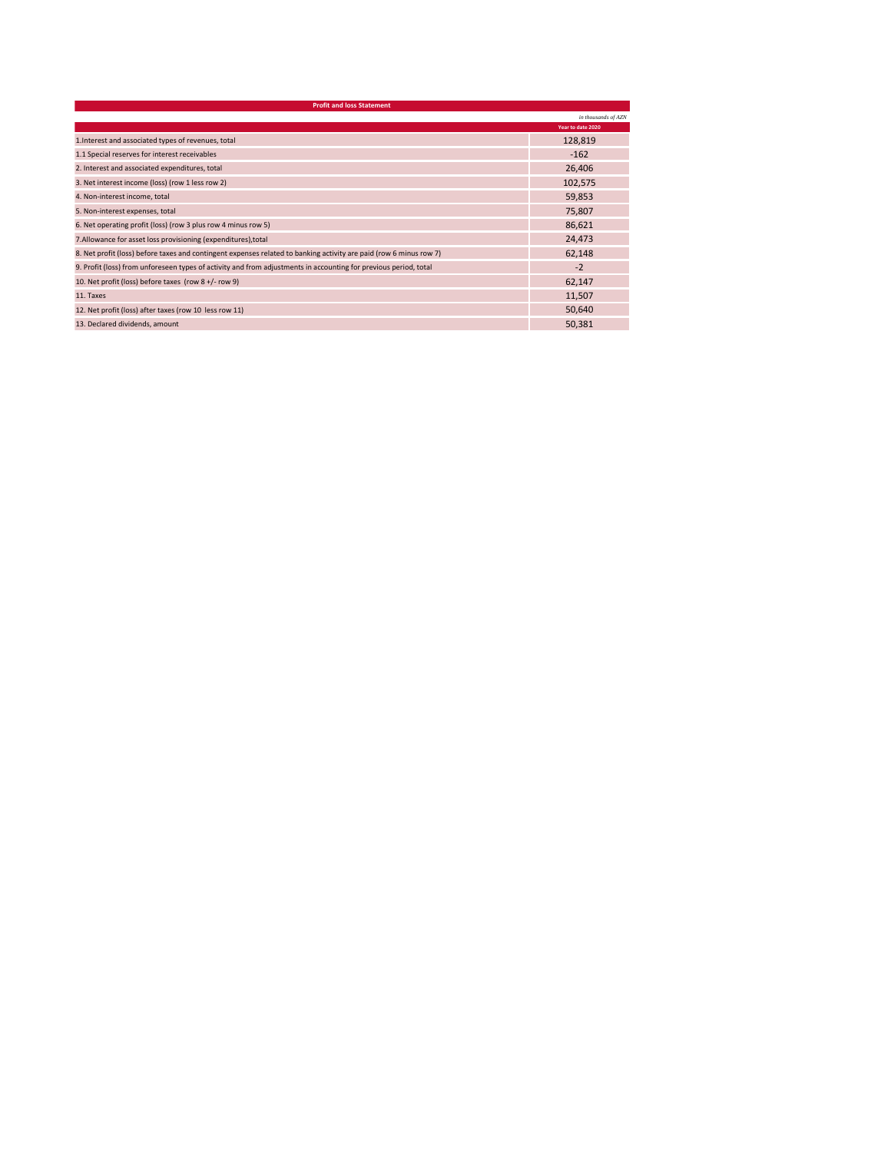|                                                                                                                    | in thousands of AZN |
|--------------------------------------------------------------------------------------------------------------------|---------------------|
|                                                                                                                    | Year to date 2020   |
| 1. Interest and associated types of revenues, total                                                                | 128,819             |
| 1.1 Special reserves for interest receivables                                                                      | $-162$              |
| 2. Interest and associated expenditures, total                                                                     | 26,406              |
| 3. Net interest income (loss) (row 1 less row 2)                                                                   | 102,575             |
| 4. Non-interest income, total                                                                                      | 59,853              |
| 5. Non-interest expenses, total                                                                                    | 75,807              |
| 6. Net operating profit (loss) (row 3 plus row 4 minus row 5)                                                      | 86,621              |
| 7. Allowance for asset loss provisioning (expenditures), total                                                     | 24,473              |
| 8. Net profit (loss) before taxes and contingent expenses related to banking activity are paid (row 6 minus row 7) | 62,148              |
| 9. Profit (loss) from unforeseen types of activity and from adjustments in accounting for previous period, total   | $-2$                |
| 10. Net profit (loss) before taxes (row 8 +/- row 9)                                                               | 62,147              |
| 11. Taxes                                                                                                          | 11,507              |
| 12. Net profit (loss) after taxes (row 10 less row 11)                                                             | 50,640              |
| 13. Declared dividends, amount                                                                                     | 50,381              |